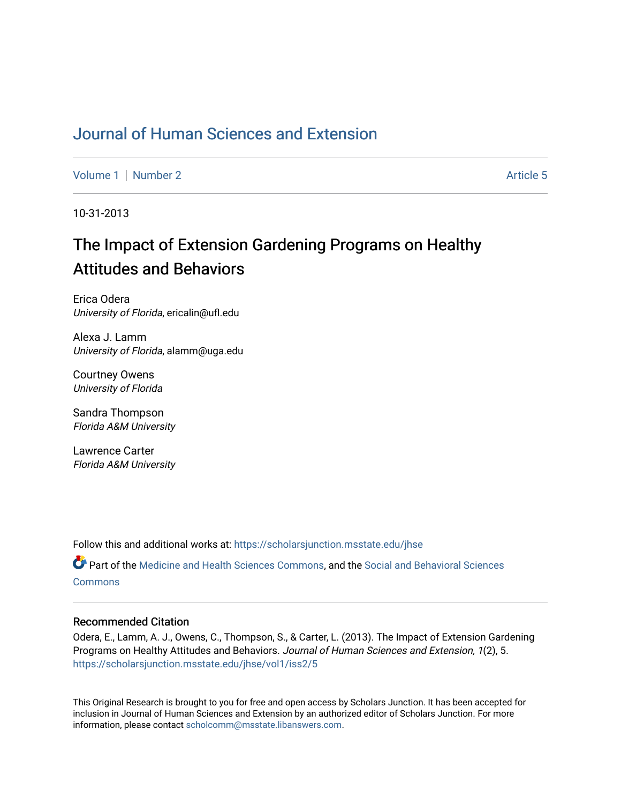## [Journal of Human Sciences and Extension](https://scholarsjunction.msstate.edu/jhse)

[Volume 1](https://scholarsjunction.msstate.edu/jhse/vol1) | [Number 2](https://scholarsjunction.msstate.edu/jhse/vol1/iss2) Article 5

10-31-2013

# The Impact of Extension Gardening Programs on Healthy Attitudes and Behaviors

Erica Odera University of Florida, ericalin@ufl.edu

Alexa J. Lamm University of Florida, alamm@uga.edu

Courtney Owens University of Florida

Sandra Thompson Florida A&M University

Lawrence Carter Florida A&M University

Follow this and additional works at: [https://scholarsjunction.msstate.edu/jhse](https://scholarsjunction.msstate.edu/jhse?utm_source=scholarsjunction.msstate.edu%2Fjhse%2Fvol1%2Fiss2%2F5&utm_medium=PDF&utm_campaign=PDFCoverPages)

Part of the [Medicine and Health Sciences Commons,](http://network.bepress.com/hgg/discipline/648?utm_source=scholarsjunction.msstate.edu%2Fjhse%2Fvol1%2Fiss2%2F5&utm_medium=PDF&utm_campaign=PDFCoverPages) and the [Social and Behavioral Sciences](http://network.bepress.com/hgg/discipline/316?utm_source=scholarsjunction.msstate.edu%2Fjhse%2Fvol1%2Fiss2%2F5&utm_medium=PDF&utm_campaign=PDFCoverPages) **[Commons](http://network.bepress.com/hgg/discipline/316?utm_source=scholarsjunction.msstate.edu%2Fjhse%2Fvol1%2Fiss2%2F5&utm_medium=PDF&utm_campaign=PDFCoverPages)** 

#### Recommended Citation

Odera, E., Lamm, A. J., Owens, C., Thompson, S., & Carter, L. (2013). The Impact of Extension Gardening Programs on Healthy Attitudes and Behaviors. Journal of Human Sciences and Extension, 1(2), 5. [https://scholarsjunction.msstate.edu/jhse/vol1/iss2/5](https://scholarsjunction.msstate.edu/jhse/vol1/iss2/5?utm_source=scholarsjunction.msstate.edu%2Fjhse%2Fvol1%2Fiss2%2F5&utm_medium=PDF&utm_campaign=PDFCoverPages)

This Original Research is brought to you for free and open access by Scholars Junction. It has been accepted for inclusion in Journal of Human Sciences and Extension by an authorized editor of Scholars Junction. For more information, please contact [scholcomm@msstate.libanswers.com](mailto:scholcomm@msstate.libanswers.com).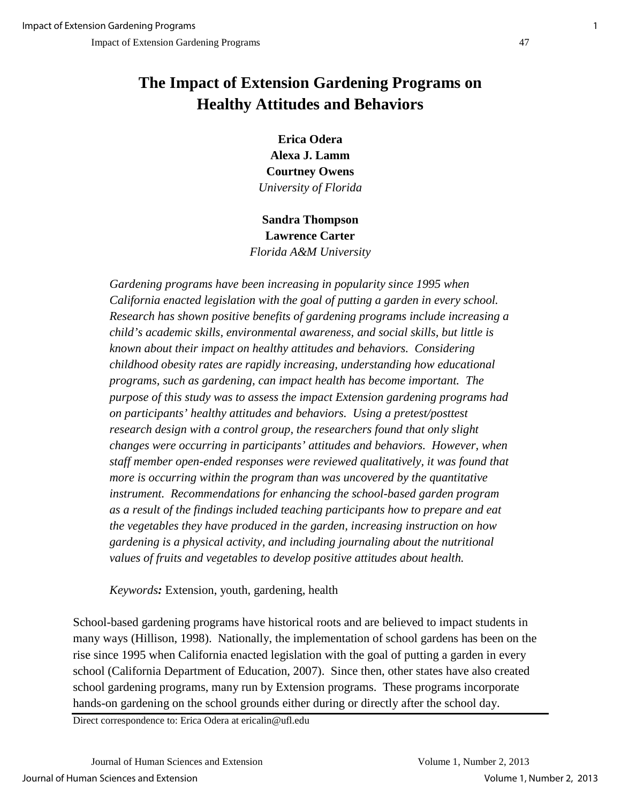## **The Impact of Extension Gardening Programs on Healthy Attitudes and Behaviors**

**Erica Odera Alexa J. Lamm Courtney Owens** *University of Florida*

**Sandra Thompson Lawrence Carter** *Florida A&M University*

*Gardening programs have been increasing in popularity since 1995 when California enacted legislation with the goal of putting a garden in every school. Research has shown positive benefits of gardening programs include increasing a child's academic skills, environmental awareness, and social skills, but little is known about their impact on healthy attitudes and behaviors. Considering childhood obesity rates are rapidly increasing, understanding how educational programs, such as gardening, can impact health has become important. The purpose of this study was to assess the impact Extension gardening programs had on participants' healthy attitudes and behaviors. Using a pretest/posttest research design with a control group, the researchers found that only slight changes were occurring in participants' attitudes and behaviors. However, when staff member open-ended responses were reviewed qualitatively, it was found that more is occurring within the program than was uncovered by the quantitative instrument. Recommendations for enhancing the school-based garden program as a result of the findings included teaching participants how to prepare and eat the vegetables they have produced in the garden, increasing instruction on how gardening is a physical activity, and including journaling about the nutritional values of fruits and vegetables to develop positive attitudes about health.* 

*Keywords:* Extension, youth, gardening, health

School-based gardening programs have historical roots and are believed to impact students in many ways (Hillison, 1998). Nationally, the implementation of school gardens has been on the rise since 1995 when California enacted legislation with the goal of putting a garden in every school (California Department of Education, 2007). Since then, other states have also created school gardening programs, many run by Extension programs. These programs incorporate hands-on gardening on the school grounds either during or directly after the school day.

Direct correspondence to: Erica Odera at ericalin@ufl.edu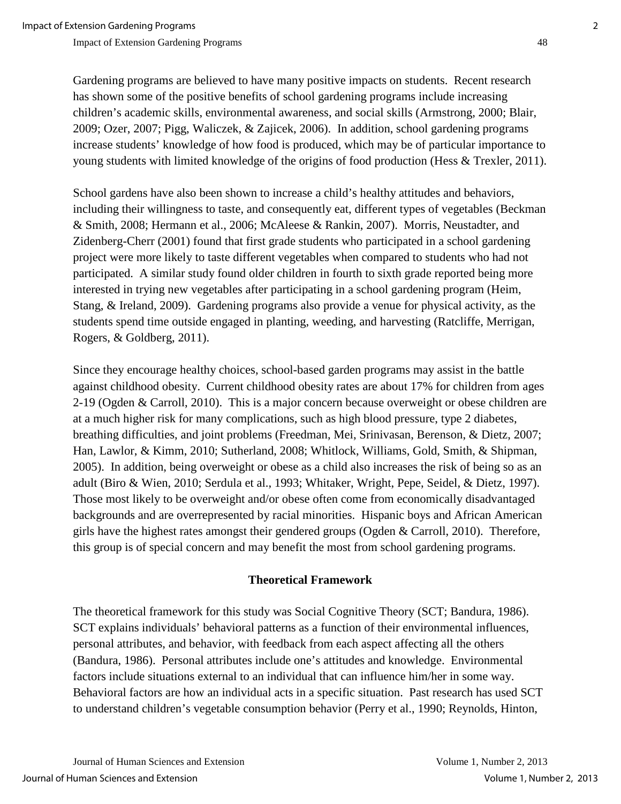Gardening programs are believed to have many positive impacts on students. Recent research has shown some of the positive benefits of school gardening programs include increasing children's academic skills, environmental awareness, and social skills (Armstrong, 2000; Blair, 2009; Ozer, 2007; Pigg, Waliczek, & Zajicek, 2006). In addition, school gardening programs increase students' knowledge of how food is produced, which may be of particular importance to young students with limited knowledge of the origins of food production (Hess & Trexler, 2011).

School gardens have also been shown to increase a child's healthy attitudes and behaviors, including their willingness to taste, and consequently eat, different types of vegetables (Beckman & Smith, 2008; Hermann et al., 2006; McAleese & Rankin, 2007). Morris, Neustadter, and Zidenberg-Cherr (2001) found that first grade students who participated in a school gardening project were more likely to taste different vegetables when compared to students who had not participated. A similar study found older children in fourth to sixth grade reported being more interested in trying new vegetables after participating in a school gardening program (Heim, Stang, & Ireland, 2009). Gardening programs also provide a venue for physical activity, as the students spend time outside engaged in planting, weeding, and harvesting (Ratcliffe, Merrigan, Rogers, & Goldberg, 2011).

Since they encourage healthy choices, school-based garden programs may assist in the battle against childhood obesity. Current childhood obesity rates are about 17% for children from ages 2-19 (Ogden & Carroll, 2010). This is a major concern because overweight or obese children are at a much higher risk for many complications, such as high blood pressure, type 2 diabetes, breathing difficulties, and joint problems (Freedman, Mei, Srinivasan, Berenson, & Dietz, 2007; Han, Lawlor, & Kimm, 2010; Sutherland, 2008; Whitlock, Williams, Gold, Smith, & Shipman, 2005). In addition, being overweight or obese as a child also increases the risk of being so as an adult (Biro & Wien, 2010; Serdula et al., 1993; Whitaker, Wright, Pepe, Seidel, & Dietz, 1997). Those most likely to be overweight and/or obese often come from economically disadvantaged backgrounds and are overrepresented by racial minorities. Hispanic boys and African American girls have the highest rates amongst their gendered groups (Ogden  $& Carroll, 2010$ ). Therefore, this group is of special concern and may benefit the most from school gardening programs.

## **Theoretical Framework**

The theoretical framework for this study was Social Cognitive Theory (SCT; Bandura, 1986). SCT explains individuals' behavioral patterns as a function of their environmental influences, personal attributes, and behavior, with feedback from each aspect affecting all the others (Bandura, 1986). Personal attributes include one's attitudes and knowledge. Environmental factors include situations external to an individual that can influence him/her in some way. Behavioral factors are how an individual acts in a specific situation. Past research has used SCT to understand children's vegetable consumption behavior (Perry et al., 1990; Reynolds, Hinton,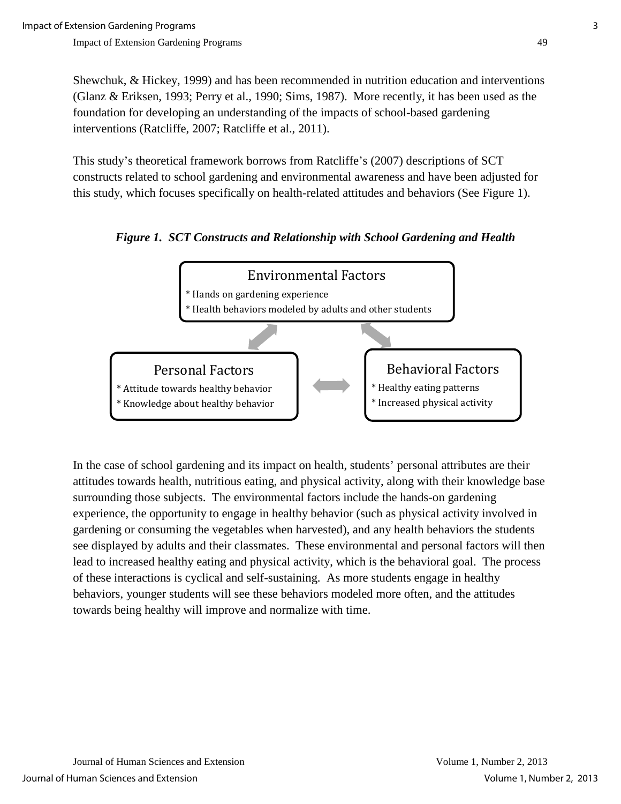Shewchuk, & Hickey, 1999) and has been recommended in nutrition education and interventions (Glanz & Eriksen, 1993; Perry et al., 1990; Sims, 1987). More recently, it has been used as the foundation for developing an understanding of the impacts of school-based gardening interventions (Ratcliffe, 2007; Ratcliffe et al., 2011).

This study's theoretical framework borrows from Ratcliffe's (2007) descriptions of SCT constructs related to school gardening and environmental awareness and have been adjusted for this study, which focuses specifically on health-related attitudes and behaviors (See Figure 1).

 *Figure 1. SCT Constructs and Relationship with School Gardening and Health*



In the case of school gardening and its impact on health, students' personal attributes are their attitudes towards health, nutritious eating, and physical activity, along with their knowledge base surrounding those subjects. The environmental factors include the hands-on gardening experience, the opportunity to engage in healthy behavior (such as physical activity involved in gardening or consuming the vegetables when harvested), and any health behaviors the students see displayed by adults and their classmates. These environmental and personal factors will then lead to increased healthy eating and physical activity, which is the behavioral goal. The process of these interactions is cyclical and self-sustaining. As more students engage in healthy behaviors, younger students will see these behaviors modeled more often, and the attitudes towards being healthy will improve and normalize with time.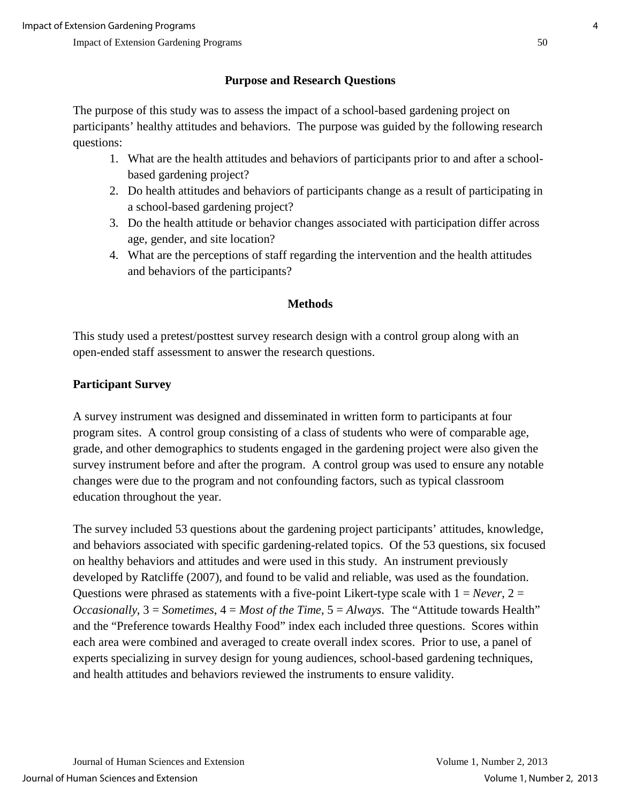## **Purpose and Research Questions**

The purpose of this study was to assess the impact of a school-based gardening project on participants' healthy attitudes and behaviors. The purpose was guided by the following research questions:

- 1. What are the health attitudes and behaviors of participants prior to and after a schoolbased gardening project?
- 2. Do health attitudes and behaviors of participants change as a result of participating in a school-based gardening project?
- 3. Do the health attitude or behavior changes associated with participation differ across age, gender, and site location?
- 4. What are the perceptions of staff regarding the intervention and the health attitudes and behaviors of the participants?

## **Methods**

This study used a pretest/posttest survey research design with a control group along with an open-ended staff assessment to answer the research questions.

## **Participant Survey**

A survey instrument was designed and disseminated in written form to participants at four program sites. A control group consisting of a class of students who were of comparable age, grade, and other demographics to students engaged in the gardening project were also given the survey instrument before and after the program. A control group was used to ensure any notable changes were due to the program and not confounding factors, such as typical classroom education throughout the year.

The survey included 53 questions about the gardening project participants' attitudes, knowledge, and behaviors associated with specific gardening-related topics. Of the 53 questions, six focused on healthy behaviors and attitudes and were used in this study. An instrument previously developed by Ratcliffe (2007), and found to be valid and reliable, was used as the foundation. Questions were phrased as statements with a five-point Likert-type scale with  $1 = Never$ ,  $2 =$ *Occasionally*, 3 = *Sometimes*, 4 = *Most of the Time*, 5 = *Always*. The "Attitude towards Health" and the "Preference towards Healthy Food" index each included three questions. Scores within each area were combined and averaged to create overall index scores. Prior to use, a panel of experts specializing in survey design for young audiences, school-based gardening techniques, and health attitudes and behaviors reviewed the instruments to ensure validity.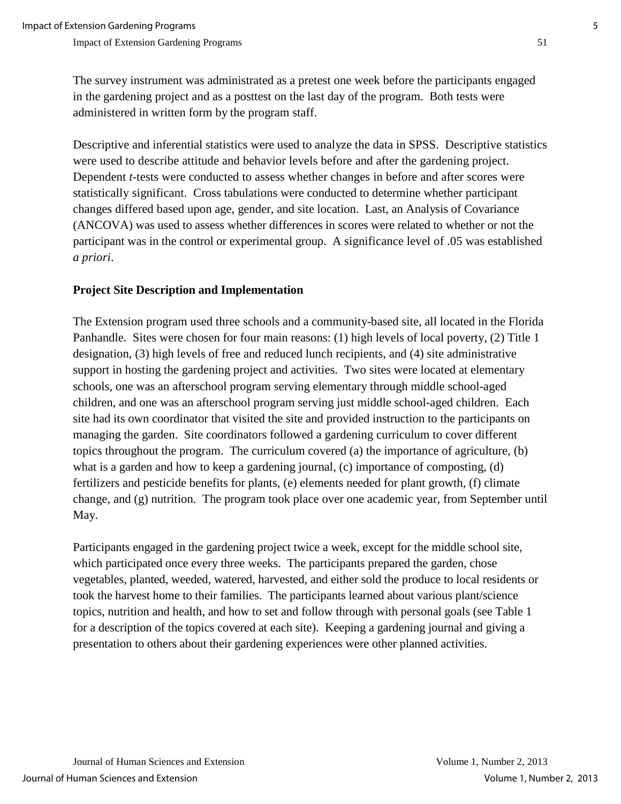The survey instrument was administrated as a pretest one week before the participants engaged in the gardening project and as a posttest on the last day of the program. Both tests were administered in written form by the program staff.

Descriptive and inferential statistics were used to analyze the data in SPSS. Descriptive statistics were used to describe attitude and behavior levels before and after the gardening project. Dependent *t*-tests were conducted to assess whether changes in before and after scores were statistically significant. Cross tabulations were conducted to determine whether participant changes differed based upon age, gender, and site location. Last, an Analysis of Covariance (ANCOVA) was used to assess whether differences in scores were related to whether or not the participant was in the control or experimental group. A significance level of .05 was established *a priori*.

### **Project Site Description and Implementation**

The Extension program used three schools and a community-based site, all located in the Florida Panhandle. Sites were chosen for four main reasons: (1) high levels of local poverty, (2) Title 1 designation, (3) high levels of free and reduced lunch recipients, and (4) site administrative support in hosting the gardening project and activities. Two sites were located at elementary schools, one was an afterschool program serving elementary through middle school-aged children, and one was an afterschool program serving just middle school-aged children. Each site had its own coordinator that visited the site and provided instruction to the participants on managing the garden. Site coordinators followed a gardening curriculum to cover different topics throughout the program. The curriculum covered (a) the importance of agriculture, (b) what is a garden and how to keep a gardening journal, (c) importance of composting, (d) fertilizers and pesticide benefits for plants, (e) elements needed for plant growth, (f) climate change, and (g) nutrition. The program took place over one academic year, from September until May.

Participants engaged in the gardening project twice a week, except for the middle school site, which participated once every three weeks. The participants prepared the garden, chose vegetables, planted, weeded, watered, harvested, and either sold the produce to local residents or took the harvest home to their families. The participants learned about various plant/science topics, nutrition and health, and how to set and follow through with personal goals (see Table 1 for a description of the topics covered at each site). Keeping a gardening journal and giving a presentation to others about their gardening experiences were other planned activities.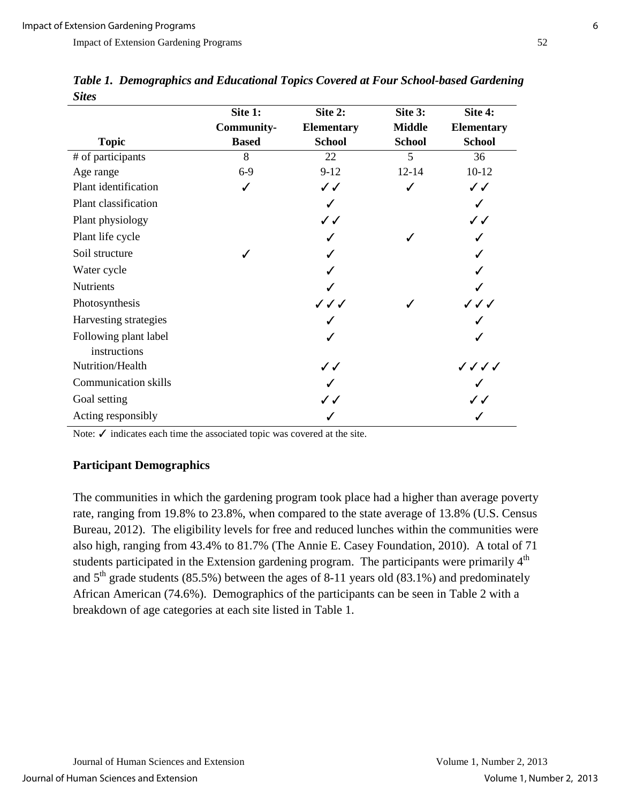| $\boldsymbol{\omega}$ iic $\boldsymbol{\omega}$ |                   |                   |               |                   |
|-------------------------------------------------|-------------------|-------------------|---------------|-------------------|
|                                                 | Site 1:           | Site 2:           | Site 3:       | Site 4:           |
|                                                 | <b>Community-</b> | <b>Elementary</b> | <b>Middle</b> | <b>Elementary</b> |
| <b>Topic</b>                                    | <b>Based</b>      | <b>School</b>     | <b>School</b> | <b>School</b>     |
| # of participants                               | 8                 | 22                | 5             | 36                |
| Age range                                       | $6-9$             | $9-12$            | $12 - 14$     | $10-12$           |
| Plant identification                            | J                 | $\checkmark$      | ✓             | $\checkmark$      |
| Plant classification                            |                   | ✓                 |               |                   |
| Plant physiology                                |                   | $\checkmark$      |               | $\checkmark$      |
| Plant life cycle                                |                   |                   |               |                   |
| Soil structure                                  |                   |                   |               |                   |
| Water cycle                                     |                   |                   |               |                   |
| <b>Nutrients</b>                                |                   |                   |               |                   |
| Photosynthesis                                  |                   | ノノノ               |               | ノノノ               |
| Harvesting strategies                           |                   |                   |               |                   |
| Following plant label<br>instructions           |                   |                   |               |                   |
| Nutrition/Health                                |                   | ✓✓                |               | ノノノノ              |
| <b>Communication skills</b>                     |                   |                   |               |                   |
| Goal setting                                    |                   | ✓✓                |               | ✓✓                |
| Acting responsibly                              |                   |                   |               |                   |

*Table 1. Demographics and Educational Topics Covered at Four School-based Gardening Sites* 

Note: ✓ indicates each time the associated topic was covered at the site.

#### **Participant Demographics**

The communities in which the gardening program took place had a higher than average poverty rate, ranging from 19.8% to 23.8%, when compared to the state average of 13.8% (U.S. Census Bureau, 2012). The eligibility levels for free and reduced lunches within the communities were also high, ranging from 43.4% to 81.7% (The Annie E. Casey Foundation, 2010). A total of 71 students participated in the Extension gardening program. The participants were primarily  $4<sup>th</sup>$ and  $5<sup>th</sup>$  grade students (85.5%) between the ages of 8-11 years old (83.1%) and predominately African American (74.6%). Demographics of the participants can be seen in Table 2 with a breakdown of age categories at each site listed in Table 1.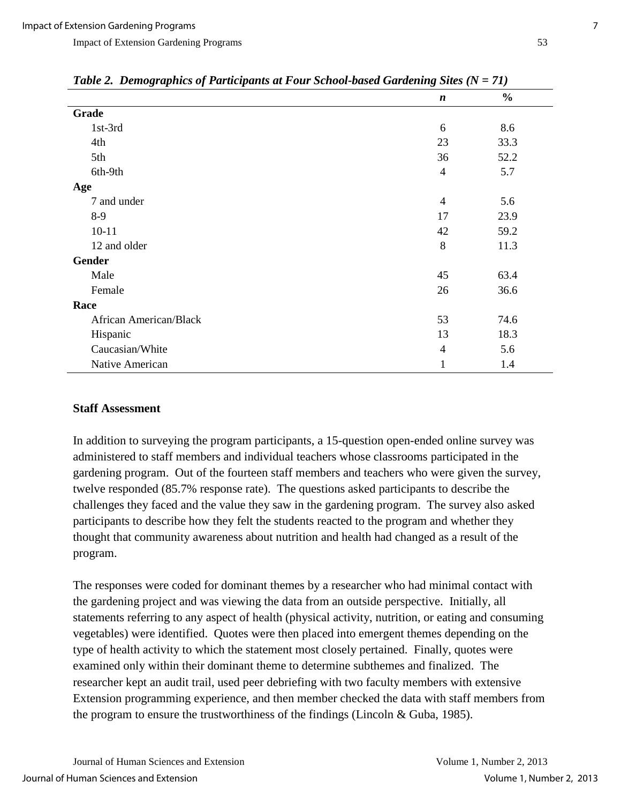| Table 2. Demographics of Participants at Four Schoot-based Gardening Sues (N = /1) |                  |               |  |  |
|------------------------------------------------------------------------------------|------------------|---------------|--|--|
|                                                                                    | $\boldsymbol{n}$ | $\frac{6}{6}$ |  |  |
| Grade                                                                              |                  |               |  |  |
| 1st-3rd                                                                            | 6                | 8.6           |  |  |
| 4th                                                                                | 23               | 33.3          |  |  |
| 5th                                                                                | 36               | 52.2          |  |  |
| 6th-9th                                                                            | $\overline{4}$   | 5.7           |  |  |
| Age                                                                                |                  |               |  |  |
| 7 and under                                                                        | $\overline{4}$   | 5.6           |  |  |
| $8-9$                                                                              | 17               | 23.9          |  |  |
| $10 - 11$                                                                          | 42               | 59.2          |  |  |
| 12 and older                                                                       | 8                | 11.3          |  |  |
| Gender                                                                             |                  |               |  |  |
| Male                                                                               | 45               | 63.4          |  |  |
| Female                                                                             | 26               | 36.6          |  |  |
| Race                                                                               |                  |               |  |  |
| <b>African American/Black</b>                                                      | 53               | 74.6          |  |  |
| Hispanic                                                                           | 13               | 18.3          |  |  |
| Caucasian/White                                                                    | $\overline{4}$   | 5.6           |  |  |
| Native American                                                                    | 1                | 1.4           |  |  |

*Table 2. Demographics of Participants at Four School-based Gardening Sites (N = 71)* 

#### **Staff Assessment**

In addition to surveying the program participants, a 15-question open-ended online survey was administered to staff members and individual teachers whose classrooms participated in the gardening program. Out of the fourteen staff members and teachers who were given the survey, twelve responded (85.7% response rate). The questions asked participants to describe the challenges they faced and the value they saw in the gardening program. The survey also asked participants to describe how they felt the students reacted to the program and whether they thought that community awareness about nutrition and health had changed as a result of the program.

The responses were coded for dominant themes by a researcher who had minimal contact with the gardening project and was viewing the data from an outside perspective. Initially, all statements referring to any aspect of health (physical activity, nutrition, or eating and consuming vegetables) were identified. Quotes were then placed into emergent themes depending on the type of health activity to which the statement most closely pertained. Finally, quotes were examined only within their dominant theme to determine subthemes and finalized. The researcher kept an audit trail, used peer debriefing with two faculty members with extensive Extension programming experience, and then member checked the data with staff members from the program to ensure the trustworthiness of the findings (Lincoln & Guba, 1985).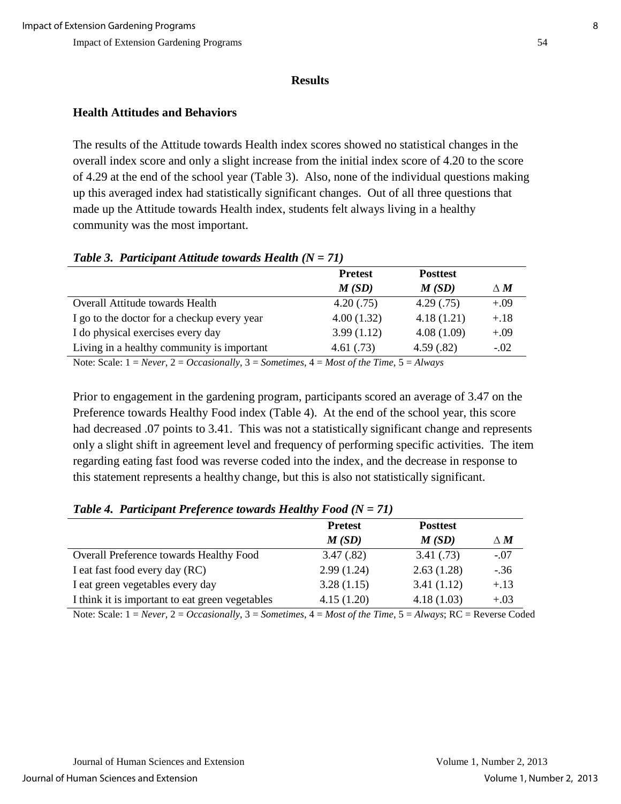#### **Results**

## **Health Attitudes and Behaviors**

The results of the Attitude towards Health index scores showed no statistical changes in the overall index score and only a slight increase from the initial index score of 4.20 to the score of 4.29 at the end of the school year (Table 3). Also, none of the individual questions making up this averaged index had statistically significant changes. Out of all three questions that made up the Attitude towards Health index, students felt always living in a healthy community was the most important.

#### *Table 3. Participant Attitude towards Health (N = 71)*

|                                             | <b>Pretest</b> | <b>Posttest</b> |            |
|---------------------------------------------|----------------|-----------------|------------|
|                                             | M(SD)          | M(SD)           | $\Delta M$ |
| Overall Attitude towards Health             | 4.20(.75)      | 4.29(0.75)      | $+.09$     |
| I go to the doctor for a checkup every year | 4.00(1.32)     | 4.18(1.21)      | $+.18$     |
| I do physical exercises every day           | 3.99(1.12)     | 4.08(1.09)      | $+.09$     |
| Living in a healthy community is important  | 4.61(.73)      | 4.59(.82)       | $-.02$     |
|                                             |                |                 |            |

Note: Scale: 1 = *Never*, 2 = *Occasionally*, 3 = *Sometimes*, 4 = *Most of the Time*, 5 = *Always*

Prior to engagement in the gardening program, participants scored an average of 3.47 on the Preference towards Healthy Food index (Table 4). At the end of the school year, this score had decreased .07 points to 3.41. This was not a statistically significant change and represents only a slight shift in agreement level and frequency of performing specific activities. The item regarding eating fast food was reverse coded into the index, and the decrease in response to this statement represents a healthy change, but this is also not statistically significant.

## *Table 4. Participant Preference towards Healthy Food (N = 71)*

|                                                 | <b>Pretest</b> | <b>Posttest</b> |                   |
|-------------------------------------------------|----------------|-----------------|-------------------|
|                                                 | M(SD)          | M(SD)           | $\Delta$ $\bm{M}$ |
| Overall Preference towards Healthy Food         | 3.47(.82)      | 3.41(.73)       | $-.07$            |
| I eat fast food every day (RC)                  | 2.99(1.24)     | 2.63(1.28)      | $-.36$            |
| I eat green vegetables every day                | 3.28(1.15)     | 3.41(1.12)      | $+.13$            |
| I think it is important to eat green vegetables | 4.15(1.20)     | 4.18(1.03)      | $+.03$            |

Note: Scale: 1 = *Never*, 2 = *Occasionally*, 3 = *Sometimes*, 4 = *Most of the Time*, 5 = *Always*; RC = Reverse Coded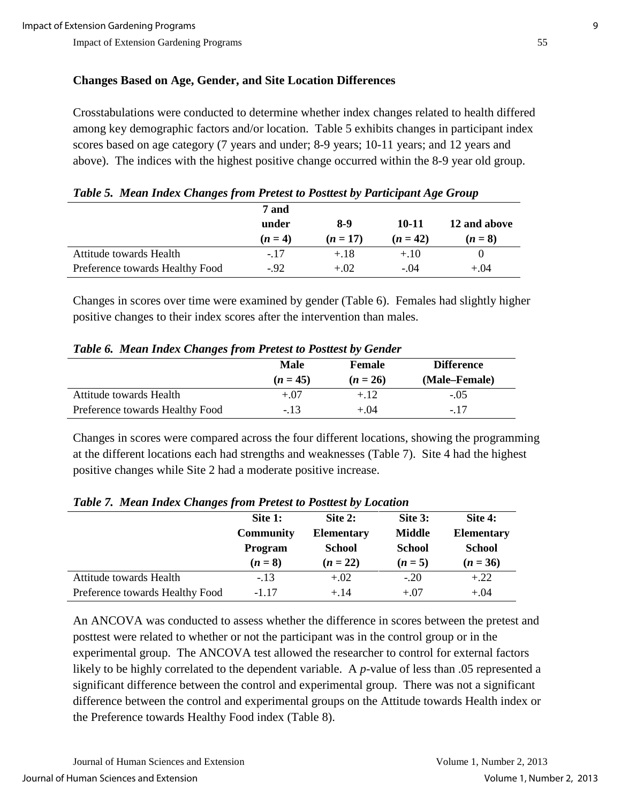## **Changes Based on Age, Gender, and Site Location Differences**

Crosstabulations were conducted to determine whether index changes related to health differed among key demographic factors and/or location. Table 5 exhibits changes in participant index scores based on age category (7 years and under; 8-9 years; 10-11 years; and 12 years and above). The indices with the highest positive change occurred within the 8-9 year old group.

| Tuble 5. Mean thuex Changes from Freest to Fostlest by Furticipant Age Group |         |            |            |              |  |
|------------------------------------------------------------------------------|---------|------------|------------|--------------|--|
| 7 and                                                                        |         |            |            |              |  |
|                                                                              | under   | 8-9        | 10-11      | 12 and above |  |
|                                                                              | $(n=4)$ | $(n = 17)$ | $(n = 42)$ | $(n=8)$      |  |
| Attitude towards Health                                                      | $-17$   | $+.18$     | $+.10$     |              |  |
| Preference towards Healthy Food                                              | $-92$   | $+.02$     | $-.04$     | $+.04$       |  |

*Table 5. Mean Index Changes from Pretest to Posttest by Participant Age Group* 

Changes in scores over time were examined by gender (Table 6). Females had slightly higher positive changes to their index scores after the intervention than males.

|  |  |  |  | Table 6. Mean Index Changes from Pretest to Posttest by Gender |
|--|--|--|--|----------------------------------------------------------------|
|--|--|--|--|----------------------------------------------------------------|

| . .                             |            |               |                   |  |
|---------------------------------|------------|---------------|-------------------|--|
|                                 | Male       | <b>Female</b> | <b>Difference</b> |  |
|                                 | $(n = 45)$ | $(n = 26)$    | (Male–Female)     |  |
| Attitude towards Health         | $+.07$     | $+.12$        | $-.05$            |  |
| Preference towards Healthy Food | $-.13$     | $+.04$        | - 17              |  |

Changes in scores were compared across the four different locations, showing the programming at the different locations each had strengths and weaknesses (Table 7). Site 4 had the highest positive changes while Site 2 had a moderate positive increase.

|                                 | Site 1:          | Site 2:           | Site 3:       | Site 4:           |
|---------------------------------|------------------|-------------------|---------------|-------------------|
|                                 | <b>Community</b> | <b>Elementary</b> | <b>Middle</b> | <b>Elementary</b> |
|                                 | <b>Program</b>   | <b>School</b>     | <b>School</b> | <b>School</b>     |
|                                 | $(n = 8)$        | $(n = 22)$        | $(n = 5)$     | $(n = 36)$        |
| Attitude towards Health         | $-.13$           | $+.02$            | $-.20$        | $+.22$            |
| Preference towards Healthy Food | $-1.17$          | $+.14$            | $+.07$        | $+.04$            |

*Table 7. Mean Index Changes from Pretest to Posttest by Location* 

An ANCOVA was conducted to assess whether the difference in scores between the pretest and posttest were related to whether or not the participant was in the control group or in the experimental group. The ANCOVA test allowed the researcher to control for external factors likely to be highly correlated to the dependent variable. A *p*-value of less than .05 represented a significant difference between the control and experimental group. There was not a significant difference between the control and experimental groups on the Attitude towards Health index or the Preference towards Healthy Food index (Table 8).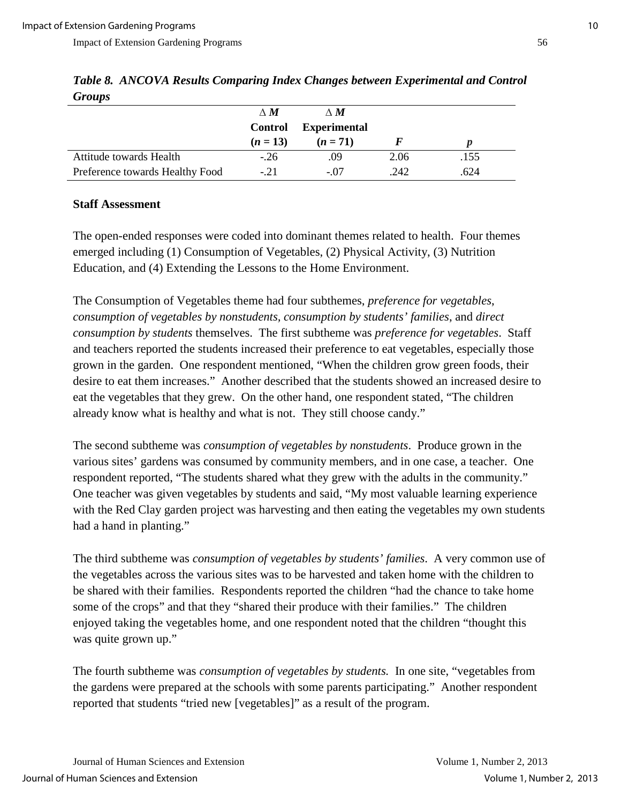| $\mathbf{u}$ $\mathbf{v}$       |                |                     |      |      |  |
|---------------------------------|----------------|---------------------|------|------|--|
|                                 | $\wedge M$     | $\wedge M$          |      |      |  |
|                                 | <b>Control</b> | <b>Experimental</b> |      |      |  |
|                                 | $(n=13)$       | $(n = 71)$          |      |      |  |
| Attitude towards Health         | $-26$          | .09                 | 2.06 | .155 |  |
| Preference towards Healthy Food | $-21$          | $-.07$              | .242 | .624 |  |

*Table 8. ANCOVA Results Comparing Index Changes between Experimental and Control Groups* 

#### **Staff Assessment**

The open-ended responses were coded into dominant themes related to health. Four themes emerged including (1) Consumption of Vegetables, (2) Physical Activity, (3) Nutrition Education, and (4) Extending the Lessons to the Home Environment.

The Consumption of Vegetables theme had four subthemes, *preference for vegetables*, *consumption of vegetables by nonstudents, consumption by students' families*, and *direct consumption by students* themselves. The first subtheme was *preference for vegetables*. Staff and teachers reported the students increased their preference to eat vegetables, especially those grown in the garden. One respondent mentioned, "When the children grow green foods, their desire to eat them increases." Another described that the students showed an increased desire to eat the vegetables that they grew. On the other hand, one respondent stated, "The children already know what is healthy and what is not. They still choose candy."

The second subtheme was *consumption of vegetables by nonstudents*. Produce grown in the various sites' gardens was consumed by community members, and in one case, a teacher. One respondent reported, "The students shared what they grew with the adults in the community." One teacher was given vegetables by students and said, "My most valuable learning experience with the Red Clay garden project was harvesting and then eating the vegetables my own students had a hand in planting."

The third subtheme was *consumption of vegetables by students' families*. A very common use of the vegetables across the various sites was to be harvested and taken home with the children to be shared with their families. Respondents reported the children "had the chance to take home some of the crops" and that they "shared their produce with their families." The children enjoyed taking the vegetables home, and one respondent noted that the children "thought this was quite grown up."

The fourth subtheme was *consumption of vegetables by students.* In one site, "vegetables from the gardens were prepared at the schools with some parents participating." Another respondent reported that students "tried new [vegetables]" as a result of the program.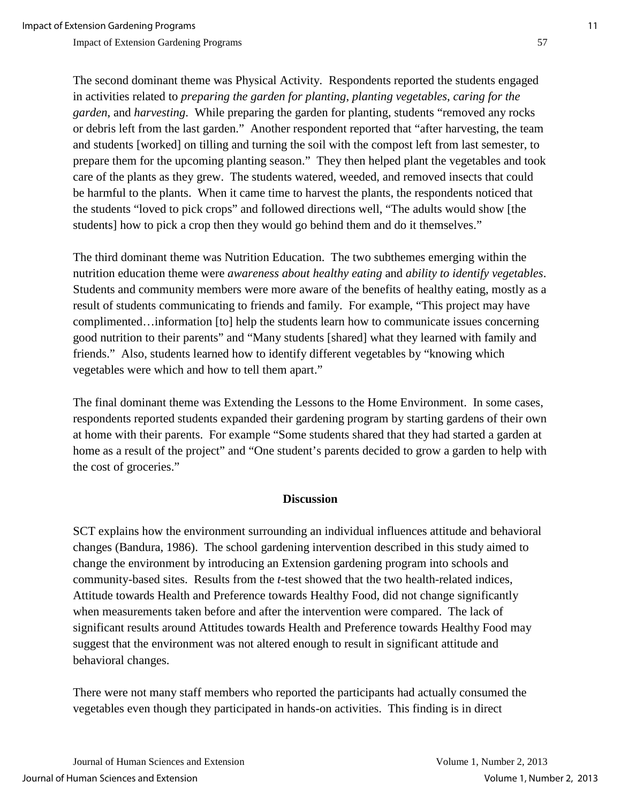The second dominant theme was Physical Activity*.* Respondents reported the students engaged in activities related to *preparing the garden for planting*, *planting vegetables*, *caring for the garden*, and *harvesting*. While preparing the garden for planting, students "removed any rocks or debris left from the last garden." Another respondent reported that "after harvesting, the team and students [worked] on tilling and turning the soil with the compost left from last semester, to prepare them for the upcoming planting season." They then helped plant the vegetables and took care of the plants as they grew. The students watered, weeded, and removed insects that could be harmful to the plants. When it came time to harvest the plants, the respondents noticed that the students "loved to pick crops" and followed directions well, "The adults would show [the students] how to pick a crop then they would go behind them and do it themselves."

The third dominant theme was Nutrition Education. The two subthemes emerging within the nutrition education theme were *awareness about healthy eating* and *ability to identify vegetables*. Students and community members were more aware of the benefits of healthy eating, mostly as a result of students communicating to friends and family. For example, "This project may have complimented…information [to] help the students learn how to communicate issues concerning good nutrition to their parents" and "Many students [shared] what they learned with family and friends." Also, students learned how to identify different vegetables by "knowing which vegetables were which and how to tell them apart."

The final dominant theme was Extending the Lessons to the Home Environment. In some cases, respondents reported students expanded their gardening program by starting gardens of their own at home with their parents. For example "Some students shared that they had started a garden at home as a result of the project" and "One student's parents decided to grow a garden to help with the cost of groceries."

### **Discussion**

SCT explains how the environment surrounding an individual influences attitude and behavioral changes (Bandura, 1986). The school gardening intervention described in this study aimed to change the environment by introducing an Extension gardening program into schools and community-based sites. Results from the *t*-test showed that the two health-related indices, Attitude towards Health and Preference towards Healthy Food, did not change significantly when measurements taken before and after the intervention were compared. The lack of significant results around Attitudes towards Health and Preference towards Healthy Food may suggest that the environment was not altered enough to result in significant attitude and behavioral changes.

There were not many staff members who reported the participants had actually consumed the vegetables even though they participated in hands-on activities. This finding is in direct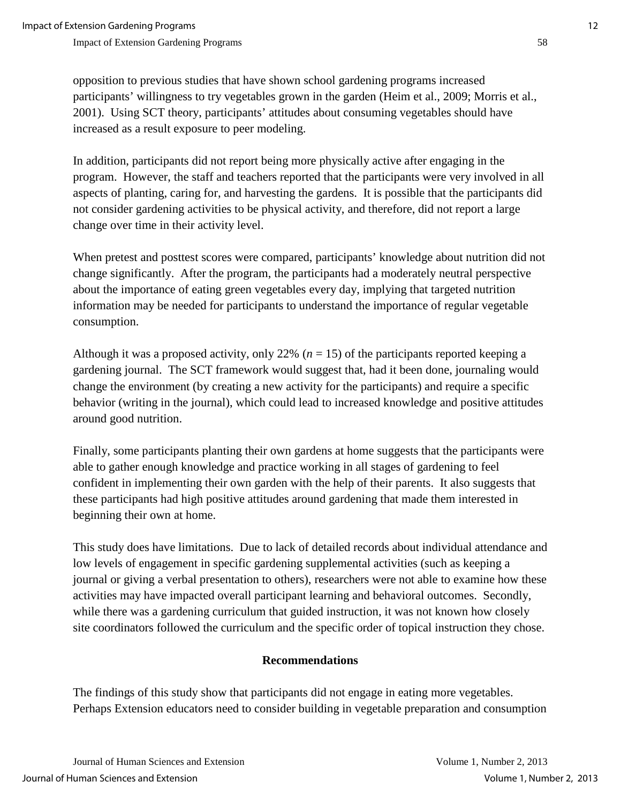opposition to previous studies that have shown school gardening programs increased participants' willingness to try vegetables grown in the garden (Heim et al., 2009; Morris et al., 2001). Using SCT theory, participants' attitudes about consuming vegetables should have increased as a result exposure to peer modeling.

In addition, participants did not report being more physically active after engaging in the program. However, the staff and teachers reported that the participants were very involved in all aspects of planting, caring for, and harvesting the gardens. It is possible that the participants did not consider gardening activities to be physical activity, and therefore, did not report a large change over time in their activity level.

When pretest and posttest scores were compared, participants' knowledge about nutrition did not change significantly. After the program, the participants had a moderately neutral perspective about the importance of eating green vegetables every day, implying that targeted nutrition information may be needed for participants to understand the importance of regular vegetable consumption.

Although it was a proposed activity, only 22%  $(n = 15)$  of the participants reported keeping a gardening journal. The SCT framework would suggest that, had it been done, journaling would change the environment (by creating a new activity for the participants) and require a specific behavior (writing in the journal), which could lead to increased knowledge and positive attitudes around good nutrition.

Finally, some participants planting their own gardens at home suggests that the participants were able to gather enough knowledge and practice working in all stages of gardening to feel confident in implementing their own garden with the help of their parents. It also suggests that these participants had high positive attitudes around gardening that made them interested in beginning their own at home.

This study does have limitations. Due to lack of detailed records about individual attendance and low levels of engagement in specific gardening supplemental activities (such as keeping a journal or giving a verbal presentation to others), researchers were not able to examine how these activities may have impacted overall participant learning and behavioral outcomes. Secondly, while there was a gardening curriculum that guided instruction, it was not known how closely site coordinators followed the curriculum and the specific order of topical instruction they chose.

## **Recommendations**

The findings of this study show that participants did not engage in eating more vegetables. Perhaps Extension educators need to consider building in vegetable preparation and consumption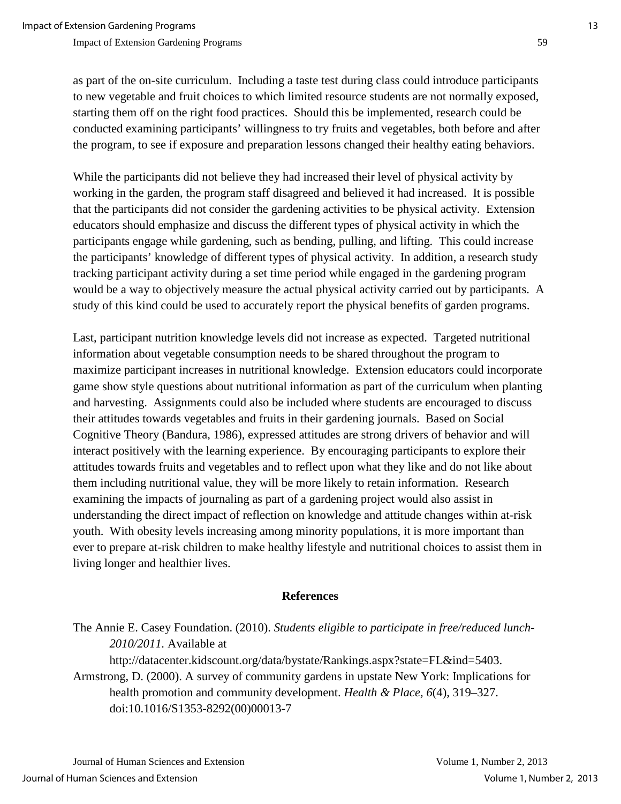as part of the on-site curriculum. Including a taste test during class could introduce participants to new vegetable and fruit choices to which limited resource students are not normally exposed, starting them off on the right food practices. Should this be implemented, research could be conducted examining participants' willingness to try fruits and vegetables, both before and after the program, to see if exposure and preparation lessons changed their healthy eating behaviors.

While the participants did not believe they had increased their level of physical activity by working in the garden, the program staff disagreed and believed it had increased. It is possible that the participants did not consider the gardening activities to be physical activity. Extension educators should emphasize and discuss the different types of physical activity in which the participants engage while gardening, such as bending, pulling, and lifting. This could increase the participants' knowledge of different types of physical activity. In addition, a research study tracking participant activity during a set time period while engaged in the gardening program would be a way to objectively measure the actual physical activity carried out by participants. A study of this kind could be used to accurately report the physical benefits of garden programs.

Last, participant nutrition knowledge levels did not increase as expected. Targeted nutritional information about vegetable consumption needs to be shared throughout the program to maximize participant increases in nutritional knowledge. Extension educators could incorporate game show style questions about nutritional information as part of the curriculum when planting and harvesting. Assignments could also be included where students are encouraged to discuss their attitudes towards vegetables and fruits in their gardening journals. Based on Social Cognitive Theory (Bandura, 1986), expressed attitudes are strong drivers of behavior and will interact positively with the learning experience. By encouraging participants to explore their attitudes towards fruits and vegetables and to reflect upon what they like and do not like about them including nutritional value, they will be more likely to retain information. Research examining the impacts of journaling as part of a gardening project would also assist in understanding the direct impact of reflection on knowledge and attitude changes within at-risk youth. With obesity levels increasing among minority populations, it is more important than ever to prepare at-risk children to make healthy lifestyle and nutritional choices to assist them in living longer and healthier lives.

#### **References**

The Annie E. Casey Foundation. (2010). *Students eligible to participate in free/reduced lunch-2010/2011.* Available at http://datacenter.kidscount.org/data/bystate/Rankings.aspx?state=FL&ind=5403.

Armstrong, D. (2000). A survey of community gardens in upstate New York: Implications for health promotion and community development. *Health & Place, 6*(4), 319–327. doi:10.1016/S1353-8292(00)00013-7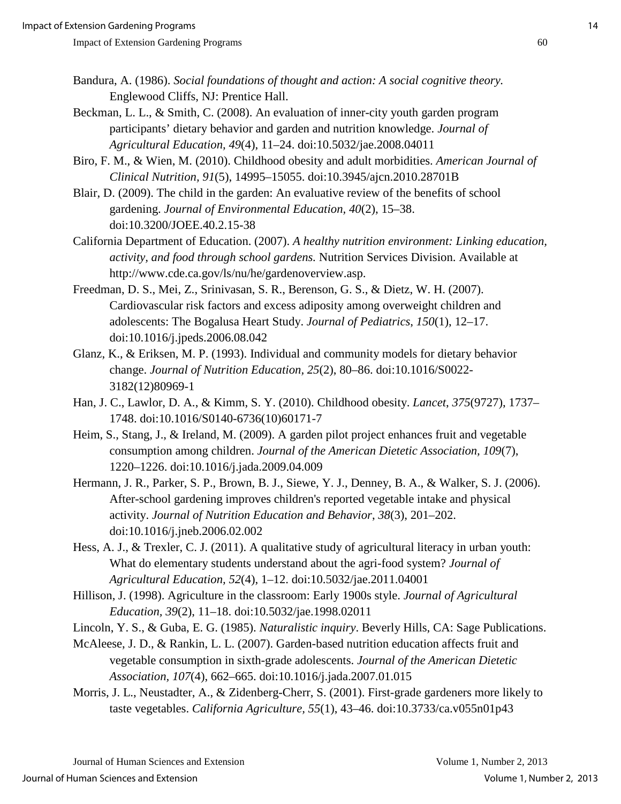- Bandura, A. (1986). *Social foundations of thought and action: A social cognitive theory.* Englewood Cliffs, NJ: Prentice Hall.
- Beckman, L. L., & Smith, C. (2008). An evaluation of inner-city youth garden program participants' dietary behavior and garden and nutrition knowledge. *Journal of Agricultural Education, 49*(4), 11–24. doi:10.5032/jae.2008.04011
- Biro, F. M., & Wien, M. (2010). Childhood obesity and adult morbidities. *American Journal of Clinical Nutrition, 91*(5), 14995–15055. doi:10.3945/ajcn.2010.28701B
- Blair, D. (2009). The child in the garden: An evaluative review of the benefits of school gardening. *Journal of Environmental Education, 40*(2), 15–38. doi:10.3200/JOEE.40.2.15-38
- California Department of Education. (2007). *A healthy nutrition environment: Linking education, activity, and food through school gardens.* Nutrition Services Division. Available at http://www.cde.ca.gov/ls/nu/he/gardenoverview.asp.
- Freedman, D. S., Mei, Z., Srinivasan, S. R., Berenson, G. S., & Dietz, W. H. (2007). Cardiovascular risk factors and excess adiposity among overweight children and adolescents: The Bogalusa Heart Study. *Journal of Pediatrics*, *150*(1), 12–17. doi:10.1016/j.jpeds.2006.08.042
- Glanz, K., & Eriksen, M. P. (1993). Individual and community models for dietary behavior change. *Journal of Nutrition Education, 25*(2), 80–86. doi:10.1016/S0022- 3182(12)80969-1
- Han, J. C., Lawlor, D. A., & Kimm, S. Y. (2010). Childhood obesity. *Lancet*, *375*(9727), 1737– 1748. doi:10.1016/S0140-6736(10)60171-7
- Heim, S., Stang, J., & Ireland, M. (2009). A garden pilot project enhances fruit and vegetable consumption among children. *Journal of the American Dietetic Association, 109*(7), 1220–1226. doi:10.1016/j.jada.2009.04.009
- Hermann, J. R., Parker, S. P., Brown, B. J., Siewe, Y. J., Denney, B. A., & Walker, S. J. (2006). After-school gardening improves children's reported vegetable intake and physical activity. *Journal of Nutrition Education and Behavior*, *38*(3), 201–202. doi:10.1016/j.jneb.2006.02.002
- Hess, A. J., & Trexler, C. J. (2011). A qualitative study of agricultural literacy in urban youth: What do elementary students understand about the agri-food system? *Journal of Agricultural Education, 52*(4), 1–12. doi:10.5032/jae.2011.04001
- Hillison, J. (1998). Agriculture in the classroom: Early 1900s style. *Journal of Agricultural Education, 39*(2), 11–18. doi:10.5032/jae.1998.02011
- Lincoln, Y. S., & Guba, E. G. (1985). *Naturalistic inquiry*. Beverly Hills, CA: Sage Publications.
- McAleese, J. D., & Rankin, L. L. (2007). Garden-based nutrition education affects fruit and vegetable consumption in sixth-grade adolescents. *Journal of the American Dietetic Association, 107*(4), 662–665. doi:10.1016/j.jada.2007.01.015
- Morris, J. L., Neustadter, A., & Zidenberg-Cherr, S. (2001). First-grade gardeners more likely to taste vegetables. *California Agriculture, 55*(1), 43–46. doi:10.3733/ca.v055n01p43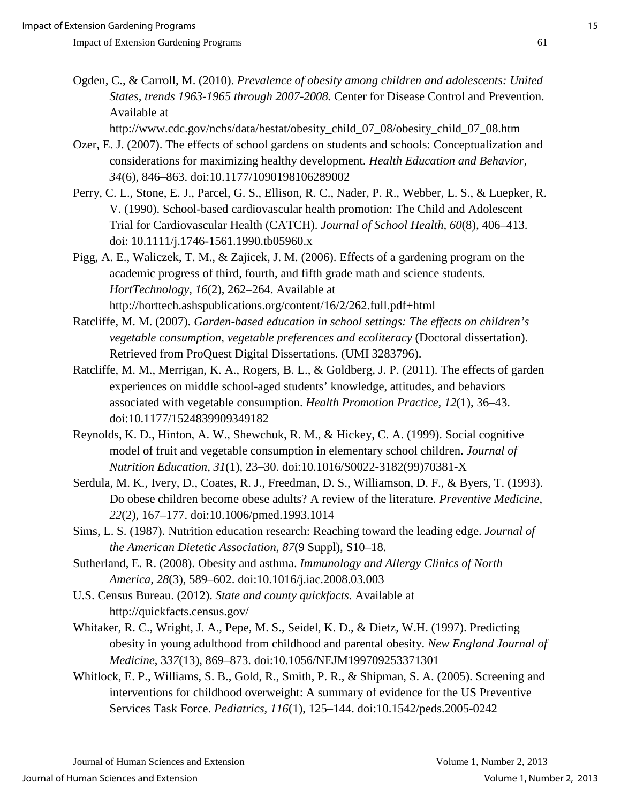Ogden, C., & Carroll, M. (2010). *Prevalence of obesity among children and adolescents: United States, trends 1963-1965 through 2007-2008.* Center for Disease Control and Prevention. Available at

http://www.cdc.gov/nchs/data/hestat/obesity\_child\_07\_08/obesity\_child\_07\_08.htm

- Ozer, E. J. (2007). The effects of school gardens on students and schools: Conceptualization and considerations for maximizing healthy development. *Health Education and Behavior, 34*(6), 846–863. doi:10.1177/1090198106289002
- Perry, C. L., Stone, E. J., Parcel, G. S., Ellison, R. C., Nader, P. R., Webber, L. S., & Luepker, R. V. (1990). School-based cardiovascular health promotion: The Child and Adolescent Trial for Cardiovascular Health (CATCH). *Journal of School Health, 60*(8)*,* 406–413. doi: 10.1111/j.1746-1561.1990.tb05960.x

Pigg, A. E., Waliczek, T. M., & Zajicek, J. M. (2006). Effects of a gardening program on the academic progress of third, fourth, and fifth grade math and science students. *HortTechnology, 16*(2), 262–264. Available at http://horttech.ashspublications.org/content/16/2/262.full.pdf+html

- Ratcliffe, M. M. (2007). *Garden-based education in school settings: The effects on children's vegetable consumption, vegetable preferences and ecoliteracy* (Doctoral dissertation). Retrieved from ProQuest Digital Dissertations. (UMI 3283796).
- Ratcliffe, M. M., Merrigan, K. A., Rogers, B. L., & Goldberg, J. P. (2011). The effects of garden experiences on middle school-aged students' knowledge, attitudes, and behaviors associated with vegetable consumption. *Health Promotion Practice, 12*(1), 36–43. doi:10.1177/1524839909349182
- Reynolds, K. D., Hinton, A. W., Shewchuk, R. M., & Hickey, C. A. (1999). Social cognitive model of fruit and vegetable consumption in elementary school children. *Journal of Nutrition Education, 31*(1), 23–30. doi:10.1016/S0022-3182(99)70381-X
- Serdula, M. K., Ivery, D., Coates, R. J., Freedman, D. S., Williamson, D. F., & Byers, T. (1993). Do obese children become obese adults? A review of the literature. *Preventive Medicine*, *22*(2), 167–177. doi:10.1006/pmed.1993.1014
- Sims, L. S. (1987). Nutrition education research: Reaching toward the leading edge. *Journal of the American Dietetic Association, 87*(9 Suppl), S10–18.
- Sutherland, E. R. (2008). Obesity and asthma. *Immunology and Allergy Clinics of North America, 28*(3), 589–602. doi:10.1016/j.iac.2008.03.003

U.S. Census Bureau. (2012). *State and county quickfacts.* Available at http://quickfacts.census.gov/

- Whitaker, R. C., Wright, J. A., Pepe, M. S., Seidel, K. D., & Dietz, W.H. (1997). Predicting obesity in young adulthood from childhood and parental obesity. *New England Journal of Medicine*, 3*37*(13), 869–873. doi:10.1056/NEJM199709253371301
- Whitlock, E. P., Williams, S. B., Gold, R., Smith, P. R., & Shipman, S. A. (2005). Screening and interventions for childhood overweight: A summary of evidence for the US Preventive Services Task Force. *Pediatrics, 116*(1), 125–144. doi:10.1542/peds.2005-0242